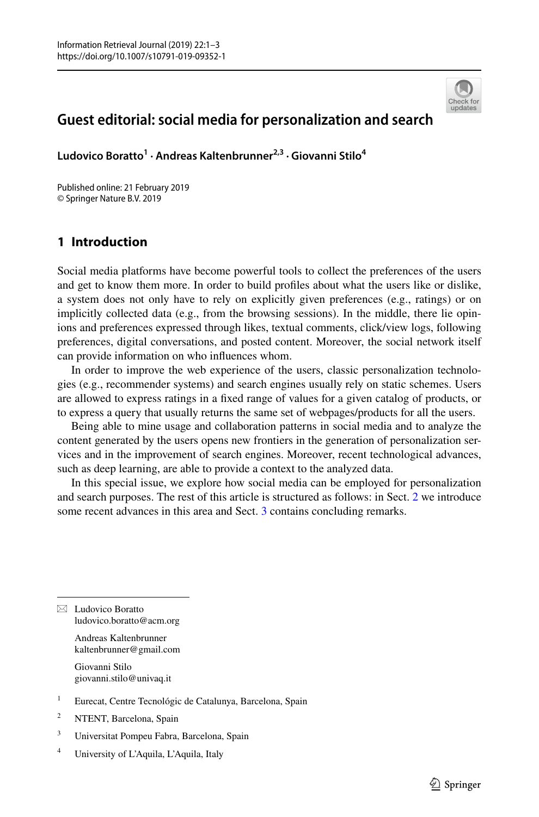

# **Guest editorial: social media for personalization and search**

**Ludovico Boratto<sup>1</sup> · Andreas Kaltenbrunner2,3 · Giovanni Stilo4**

Published online: 21 February 2019 © Springer Nature B.V. 2019

## **1 Introduction**

Social media platforms have become powerful tools to collect the preferences of the users and get to know them more. In order to build profles about what the users like or dislike, a system does not only have to rely on explicitly given preferences (e.g., ratings) or on implicitly collected data (e.g., from the browsing sessions). In the middle, there lie opinions and preferences expressed through likes, textual comments, click/view logs, following preferences, digital conversations, and posted content. Moreover, the social network itself can provide information on who infuences whom.

In order to improve the web experience of the users, classic personalization technologies (e.g., recommender systems) and search engines usually rely on static schemes. Users are allowed to express ratings in a fxed range of values for a given catalog of products, or to express a query that usually returns the same set of webpages/products for all the users.

Being able to mine usage and collaboration patterns in social media and to analyze the content generated by the users opens new frontiers in the generation of personalization services and in the improvement of search engines. Moreover, recent technological advances, such as deep learning, are able to provide a context to the analyzed data.

In this special issue, we explore how social media can be employed for personalization and search purposes. The rest of this article is structured as follows: in Sect. [2](#page-1-0) we introduce some recent advances in this area and Sect. [3](#page-2-0) contains concluding remarks.

 $\boxtimes$  Ludovico Boratto ludovico.boratto@acm.org

> Andreas Kaltenbrunner kaltenbrunner@gmail.com

Giovanni Stilo giovanni.stilo@univaq.it

- <sup>1</sup> Eurecat, Centre Tecnológic de Catalunya, Barcelona, Spain
- <sup>2</sup> NTENT, Barcelona, Spain
- <sup>3</sup> Universitat Pompeu Fabra, Barcelona, Spain
- <sup>4</sup> University of L'Aquila, L'Aquila, Italy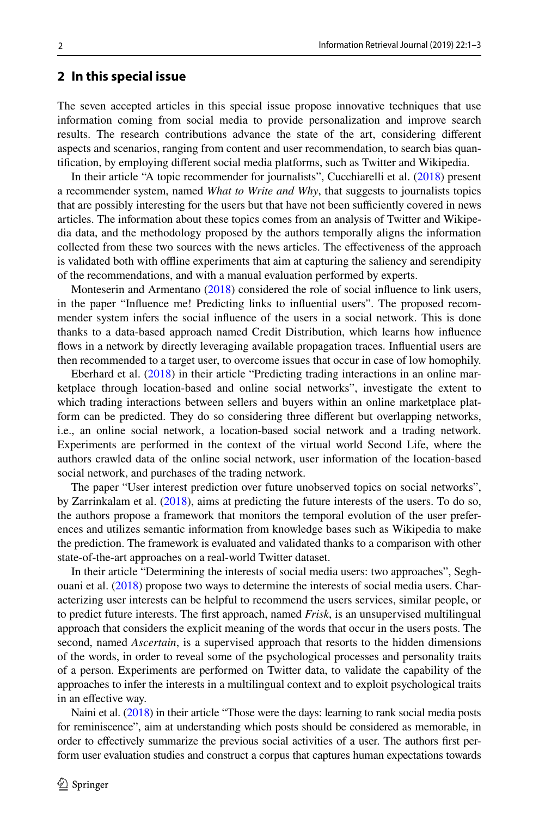#### <span id="page-1-0"></span>**2 In this special issue**

The seven accepted articles in this special issue propose innovative techniques that use information coming from social media to provide personalization and improve search results. The research contributions advance the state of the art, considering diferent aspects and scenarios, ranging from content and user recommendation, to search bias quantifcation, by employing diferent social media platforms, such as Twitter and Wikipedia.

In their article "A topic recommender for journalists", Cucchiarelli et al. [\(2018](#page-2-1)) present a recommender system, named *What to Write and Why*, that suggests to journalists topics that are possibly interesting for the users but that have not been sufficiently covered in news articles. The information about these topics comes from an analysis of Twitter and Wikipedia data, and the methodology proposed by the authors temporally aligns the information collected from these two sources with the news articles. The efectiveness of the approach is validated both with ofine experiments that aim at capturing the saliency and serendipity of the recommendations, and with a manual evaluation performed by experts.

Monteserin and Armentano ([2018\)](#page-2-2) considered the role of social infuence to link users, in the paper "Infuence me! Predicting links to infuential users". The proposed recommender system infers the social infuence of the users in a social network. This is done thanks to a data-based approach named Credit Distribution, which learns how infuence flows in a network by directly leveraging available propagation traces. Influential users are then recommended to a target user, to overcome issues that occur in case of low homophily.

Eberhard et al. ([2018\)](#page-2-3) in their article "Predicting trading interactions in an online marketplace through location-based and online social networks", investigate the extent to which trading interactions between sellers and buyers within an online marketplace platform can be predicted. They do so considering three diferent but overlapping networks, i.e., an online social network, a location-based social network and a trading network. Experiments are performed in the context of the virtual world Second Life, where the authors crawled data of the online social network, user information of the location-based social network, and purchases of the trading network.

The paper "User interest prediction over future unobserved topics on social networks", by Zarrinkalam et al. ([2018\)](#page-2-4), aims at predicting the future interests of the users. To do so, the authors propose a framework that monitors the temporal evolution of the user preferences and utilizes semantic information from knowledge bases such as Wikipedia to make the prediction. The framework is evaluated and validated thanks to a comparison with other state-of-the-art approaches on a real-world Twitter dataset.

In their article "Determining the interests of social media users: two approaches", Seghouani et al. [\(2018](#page-2-5)) propose two ways to determine the interests of social media users. Characterizing user interests can be helpful to recommend the users services, similar people, or to predict future interests. The frst approach, named *Frisk*, is an unsupervised multilingual approach that considers the explicit meaning of the words that occur in the users posts. The second, named *Ascertain*, is a supervised approach that resorts to the hidden dimensions of the words, in order to reveal some of the psychological processes and personality traits of a person. Experiments are performed on Twitter data, to validate the capability of the approaches to infer the interests in a multilingual context and to exploit psychological traits in an efective way.

Naini et al. ([2018\)](#page-2-6) in their article "Those were the days: learning to rank social media posts for reminiscence", aim at understanding which posts should be considered as memorable, in order to efectively summarize the previous social activities of a user. The authors frst perform user evaluation studies and construct a corpus that captures human expectations towards